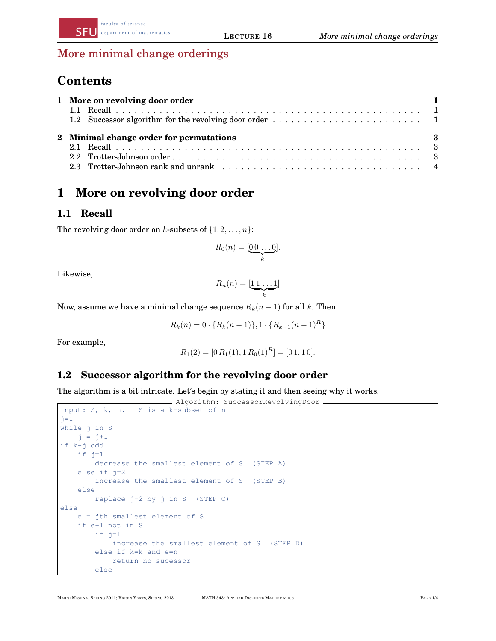## More minimal change orderings

faculty of science

# $$

| 1 More on revolving door order                      |  |
|-----------------------------------------------------|--|
|                                                     |  |
| $\sim$ 3<br>2 Minimal change order for permutations |  |
|                                                     |  |

#### $\mathbf{vol}\mathbf{v}$ **9 Nov 2 Asst 2 Due 2 Asst 2 Due 2 Asst 2 Due 2 Due 2 Due 2 Due 2 Due 2 Due 2 Due 2 Due 2 Due 2 Due 2 Due 2 Du** 1 More on revolving door order

### **1.1 Recall**

The revolving door order on  $k$ -subsets of  $\{1, 2, \ldots, n\}$ :

$$
R_0(n) = [\underbrace{0 \ 0 \ \ldots \ 0}_{k}].
$$

 $1$ **13**  $\frac{1}{2}$ ,  $\frac{1}{2}$ Likewise,

$$
R_n(n) = [\underbrace{11\ldots 1}_{k}]
$$

Now, assume we have a minimal change sequence  $R_k(n-1)$  for all k. Then

$$
R_k(n) = 0 \cdot \{R_k(n-1)\}, 1 \cdot \{R_{k-1}(n-1)^R\}
$$

For example,

$$
R_1(2) = [0 R_1(1), 1 R_0(1)R] = [0 1, 1 0].
$$

#### **1.2 Successor algorithm for the revolving door order**

The algorithm is a bit intricate. Let's begin by stating it and then seeing why it works.

```
- Algorithm: SuccessorRevolvingDoor -
input: S, k, n. S is a k-subset of n
j=1while j in S
   j = j+1if k-j odd
   if j=1decrease the smallest element of S (STEP A)
   else if j=2
       increase the smallest element of S (STEP B)
   else
       replace j-2 by j in S (STEP C)
else
   e = jth smallest element of S
   if e+1 not in S
       if j=1
           increase the smallest element of S (STEP D)
       else if k=k and e=n
           return no sucessor
       else
```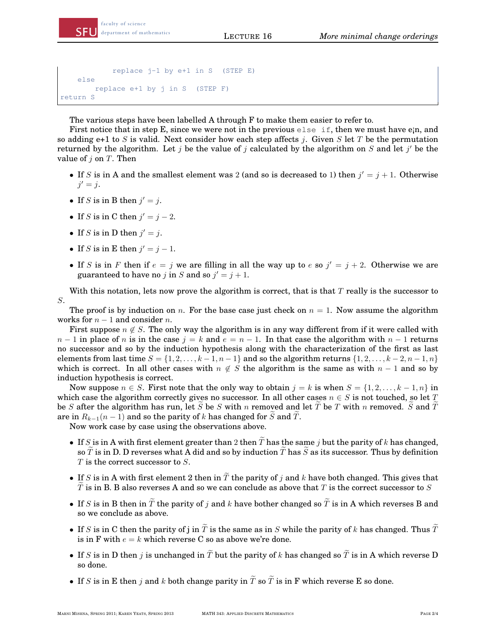```
from FS2009
Part/ References Topic/Sections Notes/Speaker
replace j-1 by e+1 in S (STEP E)
  \begin{array}{rcl} \texttt{replace} & \texttt{e+1 by j} \end{array}replace e+1 by j in S (STEP F)
2 14 I.4, I.5, I.6 Unlabelled structures
return S
      else
```
**3** 21 II.1, II.2, II.3 Labelled structures I

Comtet74

The various steps have been labelled A through F to make them easier to refer to.

First notice that in step E, since we were not in the previous else if, then we must have e<sub>i</sub>n, and so adding  $e+1$  to S is valid. Next consider how each step affects j. Given S let T be the permutation returned by the algorithm. Let j be the value of j calculated by the algorithm on  $S$  and let j' be the value of  $j$  on  $T$ . Then

- If S is in A and the smallest element was 2 (and so is decreased to 1) then  $j' = j + 1$ . Otherwise  $\jmath = \jmath.$  $j' = j$ .
- $\mathcal{L}$  study) • If S is in B then  $j' = j$ .
	- If S is in C then  $j' = j 2$ .  $18$  is the fit denote  $\int$   $\int$   $\int$   $\frac{1}{2}$ .
- If S is in D then  $j' = j$ . **and Limit Laws**
	- If S is in E then  $j' = j 1$ .
- If S is in F then if  $e = j$  we are filling in all the way up to e so  $j' = j + 2$ . Otherwise we are guaranteed to have no *j* in *S* and so  $j' = j + 1$ .

With this notation, lets now prove the algorithm is correct, that is that  $T$  really is the successor to S.

The proof is by induction on n. For the base case just check on  $n = 1$ . Now assume the algorithm works for  $n - 1$  and consider n.

First suppose  $n \notin S$ . The only way the algorithm is in any way different from if it were called with  $n-1$  in place of n is in the case  $j = k$  and  $e = n-1$ . In that case the algorithm with  $n-1$  returns no successor and so by the induction hypothesis along with the characterization of the first as last elements from last time  $S = \{1, 2, \ldots, k-1, n-1\}$  and so the algorithm returns  $\{1, 2, \ldots, k-2, n-1, n\}$ which is correct. In all other cases with  $n \notin S$  the algorithm is the same as with  $n-1$  and so by induction hypothesis is correct.

Now suppose  $n \in S$ . First note that the only way to obtain  $j = k$  is when  $S = \{1, 2, \ldots, k - 1, n\}$  in which case the algorithm correctly gives no successor. In all other cases  $n \in S$  is not touched, so let T be S after the algorithm has run, let S be S with n removed and let T be T with n removed. S and T are in  $R_{k-1}(n-1)$  and so the parity of k has changed for S and T.

Now work case by case using the observations above.

- If S is in A with first element greater than 2 then  $\tilde{T}$  has the same j but the parity of k has changed, so  $\tilde{T}$  is in D. D reverses what A did and so by induction  $\tilde{T}$  has  $\tilde{S}$  as its successor. Thus by definition  $T$  is the correct successor to  $S$ .
- If S is in A with first element 2 then in  $\widetilde{T}$  the parity of j and k have both changed. This gives that T is in B. B also reverses A and so we can conclude as above that T is the correct successor to S
- If S is in B then in  $\tilde{T}$  the parity of j and k have bother changed so  $\tilde{T}$  is in A which reverses B and so we conclude as above.
- If S is in C then the parity of j in  $\tilde{T}$  is the same as in S while the parity of k has changed. Thus  $\tilde{T}$ is in F with  $e = k$  which reverse C so as above we're done.
- If S is in D then j is unchanged in  $\widetilde{T}$  but the parity of k has changed so  $\widetilde{T}$  is in A which reverse D so done.
- If S is in E then j and k both change parity in  $\tilde{T}$  so  $\tilde{T}$  is in F which reverse E so done.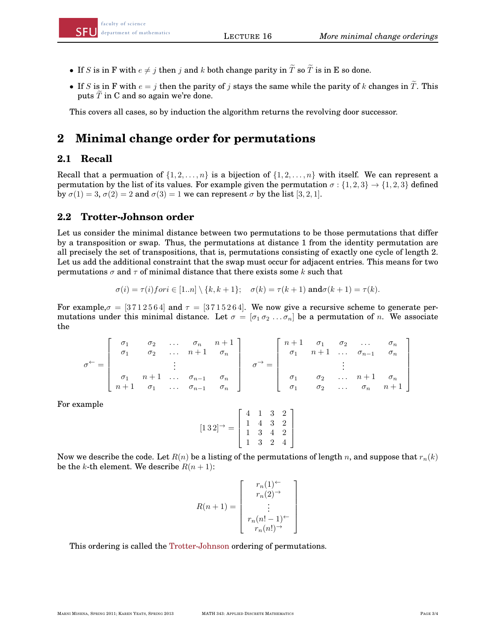- If S is in F with  $e \neq j$  then j and k both change parity in  $\widetilde{T}$  so  $\widetilde{T}$  is in E so done.
	- If S is in F with  $e = j$  then the parity of j stays the same while the parity of k changes in  $\tilde{T}$ . This puts  $\widetilde{T}$  in C and so again we're done.

es, so by This covers all cases, so by induction the algorithm returns the revolving door successor.

#### **Minimal change** 2 Minimal change order for permutations

## **7** 19 IV.3, IV.4 **Analytic Methods 2.1 Recall**

Recall that a permuation of  $\{1, 2, ..., n\}$  is a bijection of  $\{1, 2, ..., n\}$  with itself. We can represent a t of its val by  $\sigma(1) = 3$ ,  $\sigma(2) = 2$  and  $\sigma(3) = 1$  we can represent  $\sigma$  by the list [3, 2, 1]. **Permutation by the list of its values. For example given the permutation**  $\sigma$  **: {1, 2, 3}**  $\rightarrow$  **{1, 2, 3} defined** 

## 2.2 Trotter-Johnson order

Let us consider the minimal distance between two permutations to be those permutations that differ by a transposition or swap. Thus, the permutations at distance 1 from the identity permutation are by a transposition or swap. Thus, the permutations at ustance T from the identity permutation are all precisely the set of transpositions, that is, permutations consisting of exactly one cycle of length 2. Let us add the additional constraint that the swap must occur for adjacent entries. This means for two  $\mathsf{permutations}\ \sigma$  and  $\tau$  of minimal distance that there exists some  $k$  such that

$$
\sigma(i) = \tau(i) for i \in [1..n] \setminus \{k, k+1\}; \quad \sigma(k) = \tau(k+1) \text{ and } \sigma(k+1) = \tau(k).
$$

For example,  $\sigma = [3712564]$  and  $\tau = [3715264]$ . We now give a recursive scheme to generate permutations under this minimal distance. Let  $\sigma = [\sigma_1 \sigma_2 \dots \sigma_n]$  be a permutation of n. We associate the

$$
\sigma^{\leftarrow} = \begin{bmatrix} \sigma_1 & \sigma_2 & \dots & \sigma_n & n+1 \\ \sigma_1 & \sigma_2 & \dots & n+1 & \sigma_n \\ & & \vdots & & \\ \sigma_1 & n+1 & \dots & \sigma_{n-1} & \sigma_n \\ n+1 & \sigma_1 & \dots & \sigma_{n-1} & \sigma_n \end{bmatrix} \quad \sigma^{\rightarrow} = \begin{bmatrix} n+1 & \sigma_1 & \sigma_2 & \dots & \sigma_n \\ \sigma_1 & n+1 & \dots & \sigma_{n-1} & \sigma_n \\ & & \vdots & & \\ \sigma_1 & \sigma_2 & \dots & n+1 & \sigma_n \\ \sigma_1 & \sigma_2 & \dots & \sigma_n & n+1 \end{bmatrix}
$$

For example

$$
[1\,3\,2]^\rightarrow = \left[\begin{array}{rrrr} 4 & 1 & 3 & 2 \\ 1 & 4 & 3 & 2 \\ 1 & 3 & 4 & 2 \\ 1 & 3 & 2 & 4 \end{array}\right]
$$

Now we describe the code. Let  $R(n)$  be a listing of the permutations of length n, and suppose that  $r_n(k)$ be the k-th element. We describe  $R(n + 1)$ :

$$
R(n+1) = \begin{bmatrix} r_n(1)^{\leftarrow} \\ r_n(2)^{\rightarrow} \\ \vdots \\ r_n(n! - 1)^{\leftarrow} \\ r_n(n!)^{\rightarrow} \end{bmatrix}
$$

This ordering is called the Trotter-Johnson ordering of permutations.